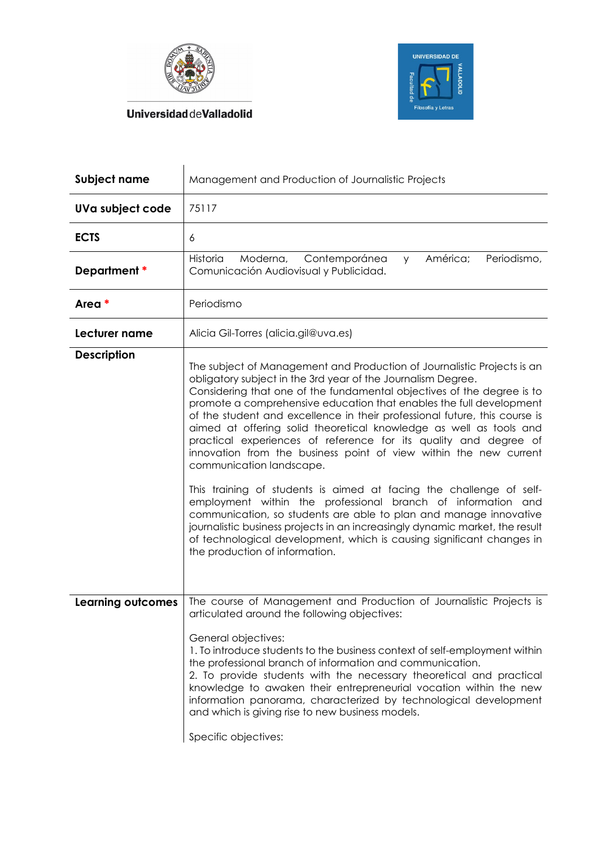



**UniversidaddeValladolid** 

| Subject name             | Management and Production of Journalistic Projects                                                                                                                                                                                                                                                                                                                                                                                                                                                                                                                                                                                                                                                                                                                                                                                                                                                                                                                                                                       |
|--------------------------|--------------------------------------------------------------------------------------------------------------------------------------------------------------------------------------------------------------------------------------------------------------------------------------------------------------------------------------------------------------------------------------------------------------------------------------------------------------------------------------------------------------------------------------------------------------------------------------------------------------------------------------------------------------------------------------------------------------------------------------------------------------------------------------------------------------------------------------------------------------------------------------------------------------------------------------------------------------------------------------------------------------------------|
| UVa subject code         | 75117                                                                                                                                                                                                                                                                                                                                                                                                                                                                                                                                                                                                                                                                                                                                                                                                                                                                                                                                                                                                                    |
| <b>ECTS</b>              | 6                                                                                                                                                                                                                                                                                                                                                                                                                                                                                                                                                                                                                                                                                                                                                                                                                                                                                                                                                                                                                        |
| Department *             | América;<br>Periodismo,<br>Historia<br>Moderna,<br>Contemporánea<br><b>y</b><br>Comunicación Audiovisual y Publicidad.                                                                                                                                                                                                                                                                                                                                                                                                                                                                                                                                                                                                                                                                                                                                                                                                                                                                                                   |
| Area *                   | Periodismo                                                                                                                                                                                                                                                                                                                                                                                                                                                                                                                                                                                                                                                                                                                                                                                                                                                                                                                                                                                                               |
| Lecturer name            | Alicia Gil-Torres (alicia.gil@uva.es)                                                                                                                                                                                                                                                                                                                                                                                                                                                                                                                                                                                                                                                                                                                                                                                                                                                                                                                                                                                    |
| <b>Description</b>       | The subject of Management and Production of Journalistic Projects is an<br>obligatory subject in the 3rd year of the Journalism Degree.<br>Considering that one of the fundamental objectives of the degree is to<br>promote a comprehensive education that enables the full development<br>of the student and excellence in their professional future, this course is<br>aimed at offering solid theoretical knowledge as well as tools and<br>practical experiences of reference for its quality and degree of<br>innovation from the business point of view within the new current<br>communication landscape.<br>This training of students is aimed at facing the challenge of self-<br>employment within the professional branch of information and<br>communication, so students are able to plan and manage innovative<br>journalistic business projects in an increasingly dynamic market, the result<br>of technological development, which is causing significant changes in<br>the production of information. |
| <b>Learning outcomes</b> | The course of Management and Production of Journalistic Projects is<br>articulated around the following objectives:<br>General objectives:<br>1. To introduce students to the business context of self-employment within<br>the professional branch of information and communication.<br>2. To provide students with the necessary theoretical and practical<br>knowledge to awaken their entrepreneurial vocation within the new<br>information panorama, characterized by technological development<br>and which is giving rise to new business models.<br>Specific objectives:                                                                                                                                                                                                                                                                                                                                                                                                                                        |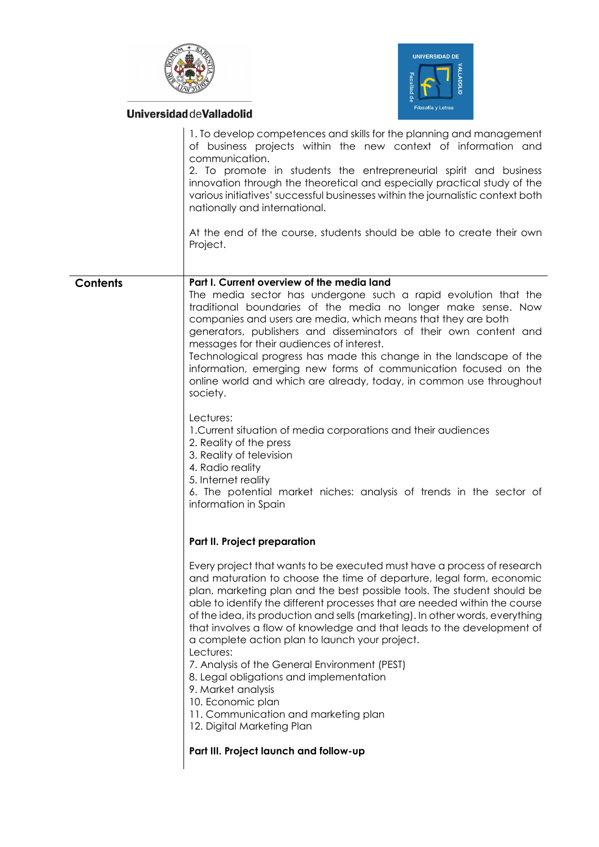

**UniversidaddeValladolid** 



|                 | 1. To develop competences and skills for the planning and management<br>of business projects within the new context of information and<br>communication.<br>2. To promote in students the entrepreneurial spirit and business<br>innovation through the theoretical and especially practical study of the<br>various initiatives' successful businesses within the journalistic context both<br>nationally and international.<br>At the end of the course, students should be able to create their own<br>Project.                                                                                                                                                                                                                                                                                                                                                                                            |
|-----------------|---------------------------------------------------------------------------------------------------------------------------------------------------------------------------------------------------------------------------------------------------------------------------------------------------------------------------------------------------------------------------------------------------------------------------------------------------------------------------------------------------------------------------------------------------------------------------------------------------------------------------------------------------------------------------------------------------------------------------------------------------------------------------------------------------------------------------------------------------------------------------------------------------------------|
| <b>Contents</b> | Part I. Current overview of the media land<br>The media sector has undergone such a rapid evolution that the<br>traditional boundaries of the media no longer make sense. Now<br>companies and users are media, which means that they are both<br>generators, publishers and disseminators of their own content and<br>messages for their audiences of interest.<br>Technological progress has made this change in the landscape of the<br>information, emerging new forms of communication focused on the<br>online world and which are already, today, in common use throughout<br>society.<br>Lectures:<br>1. Current situation of media corporations and their audiences<br>2. Reality of the press<br>3. Reality of television<br>4. Radio reality<br>5. Internet reality<br>6. The potential market niches: analysis of trends in the sector of<br>information in Spain<br>Part II. Project preparation |
|                 | Every project that wants to be executed must have a process of research<br>and maturation to choose the time of departure, legal form, economic<br>plan, marketing plan and the best possible tools. The student should be<br>able to identify the different processes that are needed within the course<br>of the idea, its production and sells (marketing). In other words, everything<br>that involves a flow of knowledge and that leads to the development of<br>a complete action plan to launch your project.<br>Lectures:<br>7. Analysis of the General Environment (PEST)<br>8. Legal obligations and implementation<br>9. Market analysis<br>10. Economic plan<br>11. Communication and marketing plan<br>12. Digital Marketing Plan<br>Part III. Project launch and follow-up                                                                                                                     |